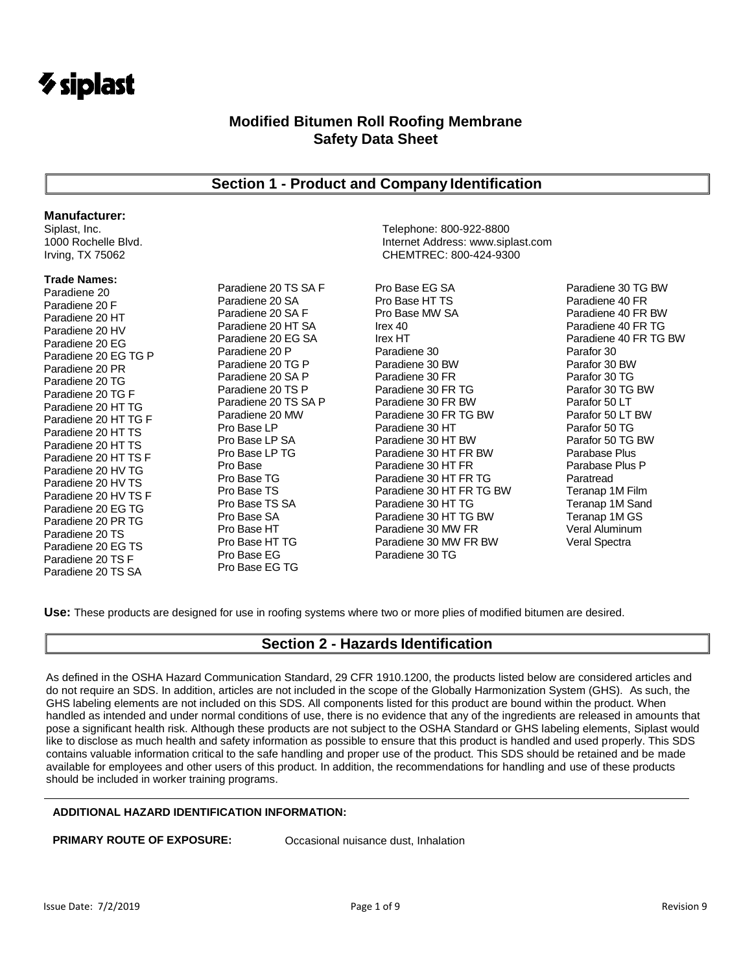

# **Section 1 - Product and Company Identification**

### **Manufacturer:**

#### **Trade Names:**

Paradiene 20 Paradiene 20 F Paradiene 20 HT Paradiene 20 HV Paradiene 20 EG Paradiene 20 EG TG P Paradiene 20 PR Paradiene 20 TG Paradiene 20 TG F Paradiene 20 HT TG Paradiene 20 HT TG F Paradiene 20 HT TS Paradiene 20 HT TS Paradiene 20 HT TS F Paradiene 20 HV TG Paradiene 20 HV TS Paradiene 20 HV TS F Paradiene 20 EG TG Paradiene 20 PR TG Paradiene 20 TS Paradiene 20 EG TS Paradiene 20 TS F Paradiene 20 TS SA

Paradiene 20 TS SA F Paradiene 20 SA Paradiene 20 SA F Paradiene 20 HT SA Paradiene 20 EG SA Paradiene 20 P Paradiene 20 TG P Paradiene 20 SA P Paradiene 20 TS P Paradiene 20 TS SA P Paradiene 20 MW Pro Base LP Pro Base LP SA Pro Base LP TG Pro Base Pro Base TG Pro Base TS Pro Base TS SA Pro Base SA Pro Base HT Pro Base HT TG Pro Base EG Pro Base EG TG

Siplast, Inc. Telephone: 800-922-8800 Internet Address: www.siplast.com Irving, TX 75062 CHEMTREC: 800-424-9300

> Pro Base EG SA Pro Base HT TS Pro Base MW SA Irex 40 Irex HT Paradiene 30 Paradiene 30 BW Paradiene 30 FR Paradiene 30 FR TG Paradiene 30 FR BW Paradiene 30 FR TG BW Paradiene 30 HT Paradiene 30 HT BW Paradiene 30 HT FR BW Paradiene 30 HT FR Paradiene 30 HT FR TG Paradiene 30 HT FR TG BW Paradiene 30 HT TG Paradiene 30 HT TG BW Paradiene 30 MW FR Paradiene 30 MW FR BW Paradiene 30 TG

Paradiene 30 TG BW Paradiene 40 FR Paradiene 40 FR BW Paradiene 40 FR TG Paradiene 40 FR TG BW Parafor 30 Parafor 30 BW Parafor 30 TG Parafor 30 TG BW Parafor 50 LT Parafor 50 LT BW Parafor 50 TG Parafor 50 TG BW Parabase Plus Parabase Plus P Paratread Teranap 1M Film Teranap 1M Sand Teranap 1M GS Veral Aluminum Veral Spectra

**Use:** These products are designed for use in roofing systems where two or more plies of modified bitumen are desired.

# **Section 2 - Hazards Identification**

As defined in the OSHA Hazard Communication Standard, 29 CFR 1910.1200, the products listed below are considered articles and do not require an SDS. In addition, articles are not included in the scope of the Globally Harmonization System (GHS). As such, the GHS labeling elements are not included on this SDS. All components listed for this product are bound within the product. When handled as intended and under normal conditions of use, there is no evidence that any of the ingredients are released in amounts that pose a significant health risk. Although these products are not subject to the OSHA Standard or GHS labeling elements, Siplast would like to disclose as much health and safety information as possible to ensure that this product is handled and used properly. This SDS contains valuable information critical to the safe handling and proper use of the product. This SDS should be retained and be made available for employees and other users of this product. In addition, the recommendations for handling and use of these products should be included in worker training programs.

### **ADDITIONAL HAZARD IDENTIFICATION INFORMATION:**

**PRIMARY ROUTE OF EXPOSURE:** Occasional nuisance dust, Inhalation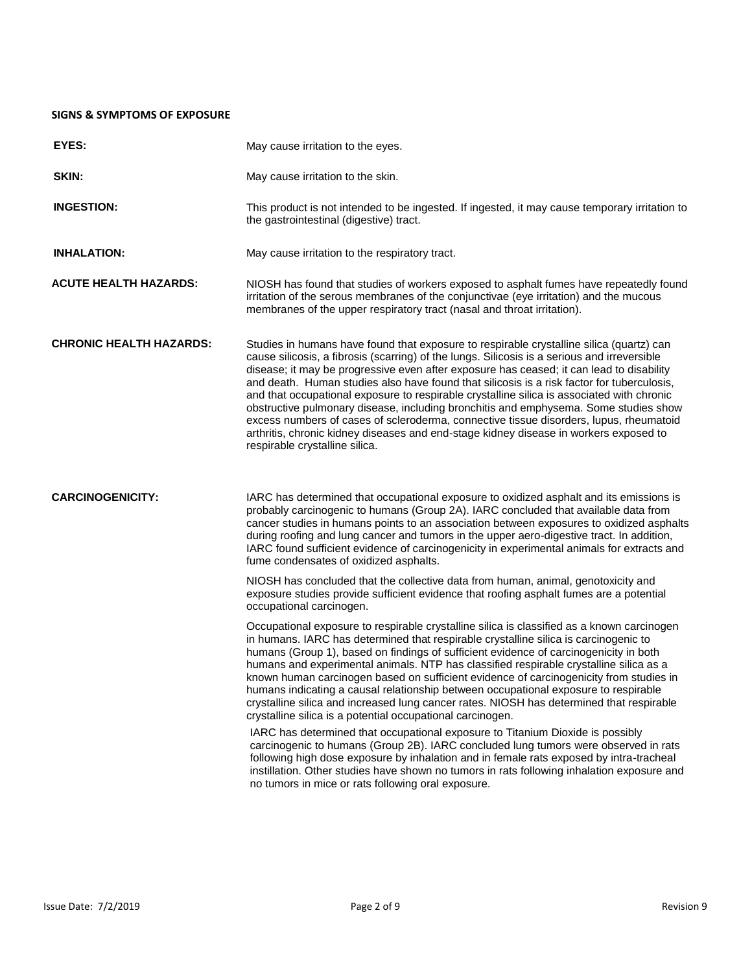### **SIGNS & SYMPTOMS OF EXPOSURE**

| EYES:                          | May cause irritation to the eyes.                                                                                                                                                                                                                                                                                                                                                                                                                                                                                                                                                                                                                                                                                                                                                                                                                                                                                                                  |  |  |
|--------------------------------|----------------------------------------------------------------------------------------------------------------------------------------------------------------------------------------------------------------------------------------------------------------------------------------------------------------------------------------------------------------------------------------------------------------------------------------------------------------------------------------------------------------------------------------------------------------------------------------------------------------------------------------------------------------------------------------------------------------------------------------------------------------------------------------------------------------------------------------------------------------------------------------------------------------------------------------------------|--|--|
| SKIN:                          | May cause irritation to the skin.                                                                                                                                                                                                                                                                                                                                                                                                                                                                                                                                                                                                                                                                                                                                                                                                                                                                                                                  |  |  |
| <b>INGESTION:</b>              | This product is not intended to be ingested. If ingested, it may cause temporary irritation to<br>the gastrointestinal (digestive) tract.                                                                                                                                                                                                                                                                                                                                                                                                                                                                                                                                                                                                                                                                                                                                                                                                          |  |  |
| <b>INHALATION:</b>             | May cause irritation to the respiratory tract.                                                                                                                                                                                                                                                                                                                                                                                                                                                                                                                                                                                                                                                                                                                                                                                                                                                                                                     |  |  |
| <b>ACUTE HEALTH HAZARDS:</b>   | NIOSH has found that studies of workers exposed to asphalt fumes have repeatedly found<br>irritation of the serous membranes of the conjunctivae (eye irritation) and the mucous<br>membranes of the upper respiratory tract (nasal and throat irritation).                                                                                                                                                                                                                                                                                                                                                                                                                                                                                                                                                                                                                                                                                        |  |  |
| <b>CHRONIC HEALTH HAZARDS:</b> | Studies in humans have found that exposure to respirable crystalline silica (quartz) can<br>cause silicosis, a fibrosis (scarring) of the lungs. Silicosis is a serious and irreversible<br>disease; it may be progressive even after exposure has ceased; it can lead to disability<br>and death. Human studies also have found that silicosis is a risk factor for tuberculosis,<br>and that occupational exposure to respirable crystalline silica is associated with chronic<br>obstructive pulmonary disease, including bronchitis and emphysema. Some studies show<br>excess numbers of cases of scleroderma, connective tissue disorders, lupus, rheumatoid<br>arthritis, chronic kidney diseases and end-stage kidney disease in workers exposed to<br>respirable crystalline silica.                                                                                                                                                      |  |  |
| <b>CARCINOGENICITY:</b>        | IARC has determined that occupational exposure to oxidized asphalt and its emissions is<br>probably carcinogenic to humans (Group 2A). IARC concluded that available data from<br>cancer studies in humans points to an association between exposures to oxidized asphalts<br>during roofing and lung cancer and tumors in the upper aero-digestive tract. In addition,<br>IARC found sufficient evidence of carcinogenicity in experimental animals for extracts and<br>fume condensates of oxidized asphalts.<br>NIOSH has concluded that the collective data from human, animal, genotoxicity and<br>exposure studies provide sufficient evidence that roofing asphalt fumes are a potential<br>occupational carcinogen.<br>Occupational exposure to respirable crystalline silica is classified as a known carcinogen<br>in humans. IARC has determined that respirable crystalline silica is carcinogenic to                                  |  |  |
|                                | humans (Group 1), based on findings of sufficient evidence of carcinogenicity in both<br>humans and experimental animals. NTP has classified respirable crystalline silica as a<br>known human carcinogen based on sufficient evidence of carcinogenicity from studies in<br>humans indicating a causal relationship between occupational exposure to respirable<br>crystalline silica and increased lung cancer rates. NIOSH has determined that respirable<br>crystalline silica is a potential occupational carcinogen.<br>IARC has determined that occupational exposure to Titanium Dioxide is possibly<br>carcinogenic to humans (Group 2B). IARC concluded lung tumors were observed in rats<br>following high dose exposure by inhalation and in female rats exposed by intra-tracheal<br>instillation. Other studies have shown no tumors in rats following inhalation exposure and<br>no tumors in mice or rats following oral exposure. |  |  |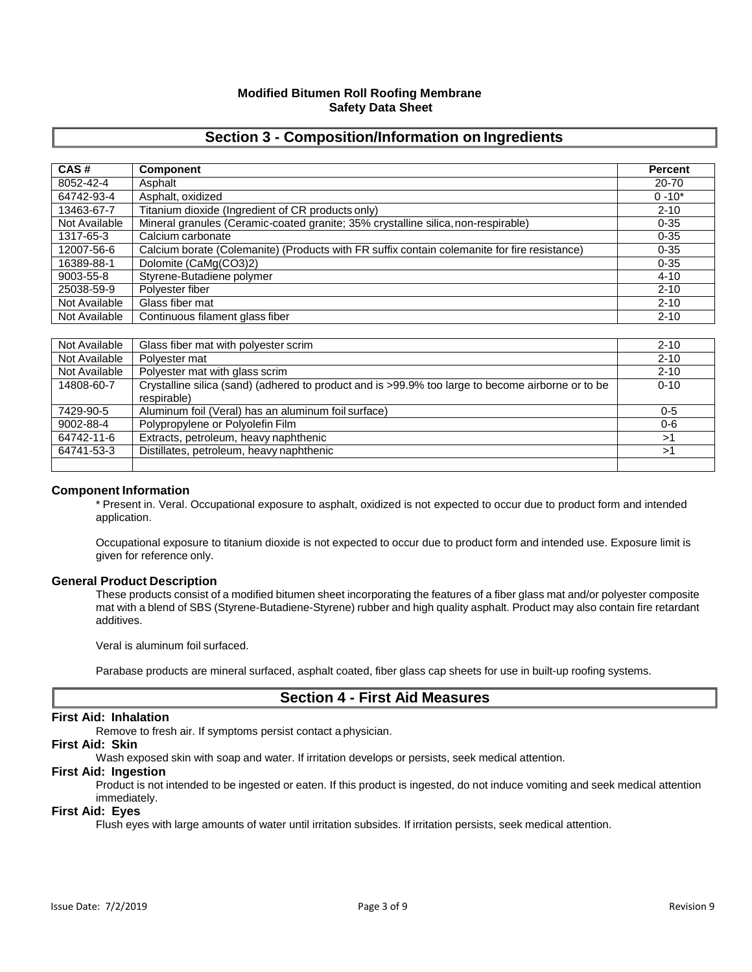# **Section 3 - Composition/Information on Ingredients**

| CAS#          | <b>Component</b>                                                                             | Percent   |
|---------------|----------------------------------------------------------------------------------------------|-----------|
| 8052-42-4     | Asphalt                                                                                      | 20-70     |
| 64742-93-4    | Asphalt, oxidized                                                                            | $0 - 10*$ |
| 13463-67-7    | Titanium dioxide (Ingredient of CR products only)                                            | $2 - 10$  |
| Not Available | Mineral granules (Ceramic-coated granite; 35% crystalline silica, non-respirable)            | $0 - 35$  |
| 1317-65-3     | Calcium carbonate                                                                            | $0 - 35$  |
| 12007-56-6    | Calcium borate (Colemanite) (Products with FR suffix contain colemanite for fire resistance) | $0 - 35$  |
| 16389-88-1    | Dolomite (CaMg(CO3)2)                                                                        | $0 - 35$  |
| 9003-55-8     | Styrene-Butadiene polymer                                                                    | $4 - 10$  |
| 25038-59-9    | Polyester fiber                                                                              | $2 - 10$  |
| Not Available | Glass fiber mat                                                                              | $2 - 10$  |
| Not Available | Continuous filament glass fiber                                                              | $2 - 10$  |

| Not Available | Glass fiber mat with polyester scrim                                                              | $2 - 10$ |
|---------------|---------------------------------------------------------------------------------------------------|----------|
| Not Available | Polyester mat                                                                                     | $2 - 10$ |
| Not Available | Polyester mat with glass scrim                                                                    | $2 - 10$ |
| 14808-60-7    | Crystalline silica (sand) (adhered to product and is >99.9% too large to become airborne or to be | $0 - 10$ |
|               | respirable)                                                                                       |          |
| 7429-90-5     | Aluminum foil (Veral) has an aluminum foil surface)                                               | $0 - 5$  |
| 9002-88-4     | Polypropylene or Polyolefin Film                                                                  | 0-6      |
| 64742-11-6    | Extracts, petroleum, heavy naphthenic                                                             | >1       |
| 64741-53-3    | Distillates, petroleum, heavy naphthenic                                                          | >1       |
|               |                                                                                                   |          |

### **Component Information**

\* Present in. Veral. Occupational exposure to asphalt, oxidized is not expected to occur due to product form and intended application.

Occupational exposure to titanium dioxide is not expected to occur due to product form and intended use. Exposure limit is given for reference only.

### **General Product Description**

These products consist of a modified bitumen sheet incorporating the features of a fiber glass mat and/or polyester composite mat with a blend of SBS (Styrene-Butadiene-Styrene) rubber and high quality asphalt. Product may also contain fire retardant additives.

Veral is aluminum foil surfaced.

Parabase products are mineral surfaced, asphalt coated, fiber glass cap sheets for use in built-up roofing systems.

# **Section 4 - First Aid Measures**

### **First Aid: Inhalation**

Remove to fresh air. If symptoms persist contact a physician.

### **First Aid: Skin**

Wash exposed skin with soap and water. If irritation develops or persists, seek medical attention.

### **First Aid: Ingestion**

Product is not intended to be ingested or eaten. If this product is ingested, do not induce vomiting and seek medical attention immediately.

### **First Aid: Eyes**

Flush eyes with large amounts of water until irritation subsides. If irritation persists, seek medical attention.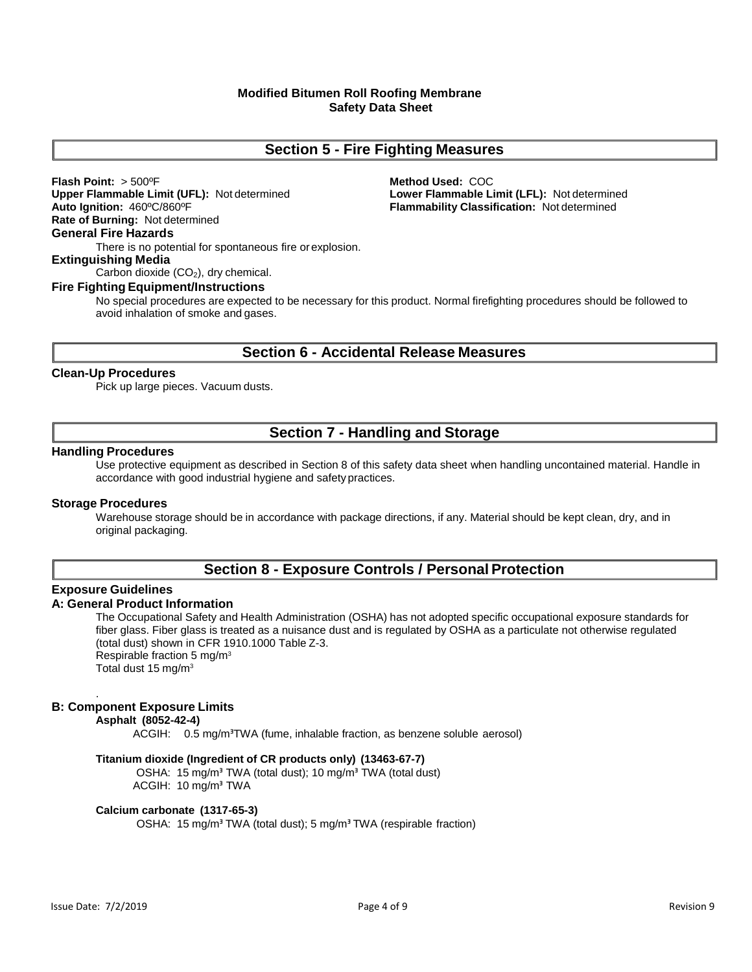# **Section 5 - Fire Fighting Measures**

**Flash Point:** > 500ºF **Method Used:** COC **Auto Ignition:** 460ºC/860ºF **Flammability Classification:** Not determined **Rate of Burning:** Not determined **General Fire Hazards**

**Upper Flammable Limit (UFL):** Not determined **Lower Flammable Limit (LFL):** Not determined

There is no potential for spontaneous fire orexplosion.

### **Extinguishing Media**

Carbon dioxide  $(CO<sub>2</sub>)$ , dry chemical.

#### **Fire Fighting Equipment/Instructions**

No special procedures are expected to be necessary for this product. Normal firefighting procedures should be followed to avoid inhalation of smoke and gases.

# **Section 6 - Accidental Release Measures**

### **Clean-Up Procedures**

Pick up large pieces. Vacuum dusts.

# **Section 7 - Handling and Storage**

### **Handling Procedures**

Use protective equipment as described in Section 8 of this safety data sheet when handling uncontained material. Handle in accordance with good industrial hygiene and safety practices.

### **Storage Procedures**

Warehouse storage should be in accordance with package directions, if any. Material should be kept clean, dry, and in original packaging.

# **Section 8 - Exposure Controls / Personal Protection**

### **Exposure Guidelines**

### **A: General Product Information**

The Occupational Safety and Health Administration (OSHA) has not adopted specific occupational exposure standards for fiber glass. Fiber glass is treated as a nuisance dust and is regulated by OSHA as a particulate not otherwise regulated (total dust) shown in CFR 1910.1000 Table Z-3. Respirable fraction 5 mg/m<sup>3</sup> Total dust 15 mg/m<sup>3</sup>

#### . **B: Component Exposure Limits**

#### **Asphalt (8052-42-4)**

ACGIH: 0.5 mg/m<sup>3</sup>TWA (fume, inhalable fraction, as benzene soluble aerosol)

#### **Titanium dioxide (Ingredient of CR products only) (13463-67-7)**

OSHA: 15 mg/m<sup>3</sup> TWA (total dust); 10 mg/m<sup>3</sup> TWA (total dust) ACGIH: 10 mg/mᴲ TWA

#### **Calcium carbonate (1317-65-3)**

OSHA: 15 mg/m<sup>3</sup> TWA (total dust); 5 mg/m<sup>3</sup> TWA (respirable fraction)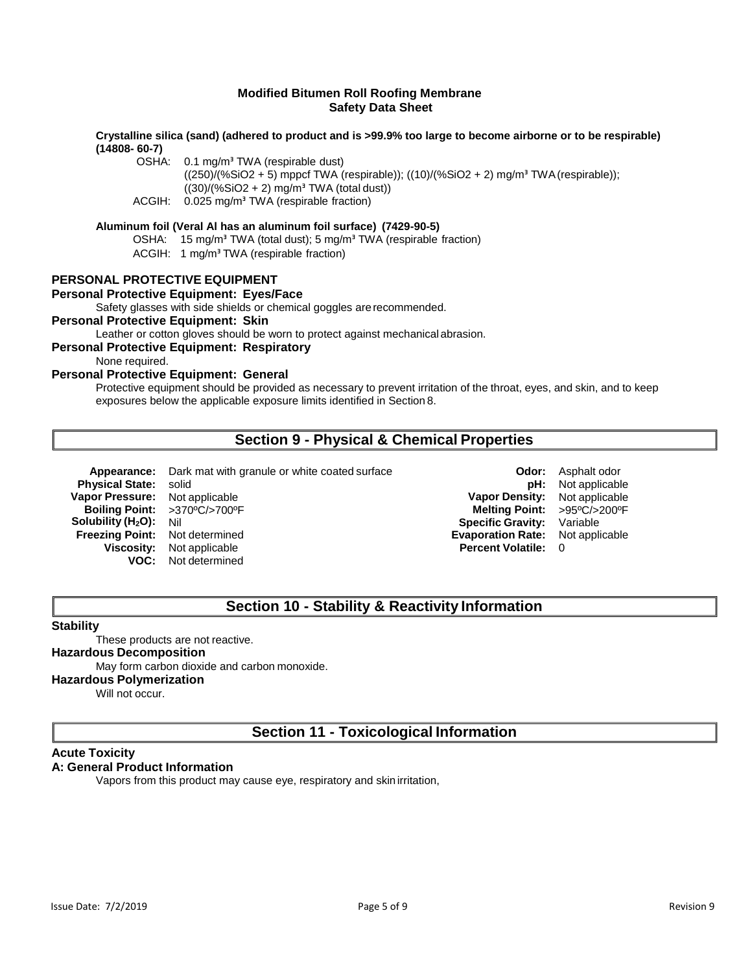### **Crystalline silica (sand) (adhered to product and is >99.9% too large to become airborne or to be respirable) (14808- 60-7)**

OSHA: 0.1 mg/m<sup>3</sup> TWA (respirable dust)

 $((250)/(%SiO2 + 5)$  mppcf TWA (respirable));  $((10)/(%SiO2 + 2)$  mg/m<sup>3</sup> TWA (respirable));  $((30)/(%SiO2 + 2)$  mg/m<sup>3</sup> TWA (total dust))

ACGIH: 0.025 mg/m<sup>3</sup> TWA (respirable fraction)

### **Aluminum foil (Veral Al has an aluminum foil surface) (7429-90-5)**

OSHA: 15 mg/m<sup>3</sup> TWA (total dust); 5 mg/m<sup>3</sup> TWA (respirable fraction)

ACGIH: 1 mg/m<sup>3</sup> TWA (respirable fraction)

### **PERSONAL PROTECTIVE EQUIPMENT**

# **Personal Protective Equipment: Eyes/Face**

Safety glasses with side shields or chemical goggles arerecommended.

### **Personal Protective Equipment: Skin**

Leather or cotton gloves should be worn to protect against mechanical abrasion.

### **Personal Protective Equipment: Respiratory**

None required.

## **Personal Protective Equipment: General**

Protective equipment should be provided as necessary to prevent irritation of the throat, eyes, and skin, and to keep exposures below the applicable exposure limits identified in Section 8.

# **Section 9 - Physical & Chemical Properties**

**Appearance:** Dark mat with granule or white coated surface **Odor:** Asphalt odor **Physical State:** solid **pH:** Not applicable **Vapor Pressure:** Not applicable **Vapor Density:** Not applicable **Boiling Point:** >370ºC/>700ºF **Melting Point:** >95ºC/>200ºF **Solubility (H<sub>2</sub>O):** Nil **Specific Gravity:** Variable **Specific Gravity:** Variable **Specific Gravity:** Variable **Freezing Point:** Not determined **Viscosity:** Not applicable **Percent Volatile:** 0 **VOC:** Not determined

**Evaporation Rate:** Not applicable

# **Section 10 - Stability & Reactivity Information**

### **Stability**

These products are not reactive.

# **Hazardous Decomposition**

### May form carbon dioxide and carbon monoxide.

#### **Hazardous Polymerization**

Will not occur.

# **Section 11 - Toxicological Information**

### **Acute Toxicity**

### **A: General Product Information**

Vapors from this product may cause eye, respiratory and skin irritation,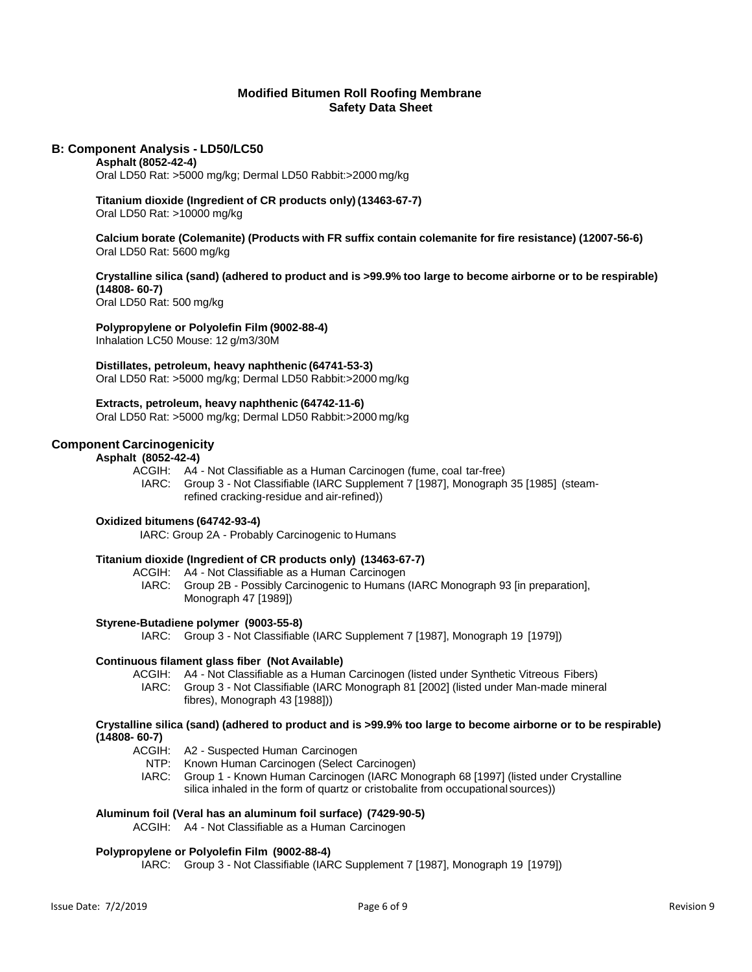### **B: Component Analysis - LD50/LC50**

### **Asphalt (8052-42-4)**

Oral LD50 Rat: >5000 mg/kg; Dermal LD50 Rabbit:>2000 mg/kg

#### **Titanium dioxide (Ingredient of CR products only) (13463-67-7)** Oral LD50 Rat: >10000 mg/kg

**Calcium borate (Colemanite) (Products with FR suffix contain colemanite for fire resistance) (12007-56-6)** Oral LD50 Rat: 5600 mg/kg

### Crystalline silica (sand) (adhered to product and is >99.9% too large to become airborne or to be respirable) **(14808- 60-7)**

Oral LD50 Rat: 500 mg/kg

### **Polypropylene or Polyolefin Film (9002-88-4)**

Inhalation LC50 Mouse: 12 g/m3/30M

#### **Distillates, petroleum, heavy naphthenic (64741-53-3)**

Oral LD50 Rat: >5000 mg/kg; Dermal LD50 Rabbit:>2000 mg/kg

### **Extracts, petroleum, heavy naphthenic (64742-11-6)**

Oral LD50 Rat: >5000 mg/kg; Dermal LD50 Rabbit:>2000 mg/kg

### **Component Carcinogenicity**

### **Asphalt (8052-42-4)**

ACGIH: A4 - Not Classifiable as a Human Carcinogen (fume, coal tar-free) IARC: Group 3 - Not Classifiable (IARC Supplement 7 [1987], Monograph 35 [1985] (steamrefined cracking-residue and air-refined))

### **Oxidized bitumens (64742-93-4)**

IARC: Group 2A - Probably Carcinogenic to Humans

### **Titanium dioxide (Ingredient of CR products only) (13463-67-7)**

ACGIH: A4 - Not Classifiable as a Human Carcinogen

IARC: Group 2B - Possibly Carcinogenic to Humans (IARC Monograph 93 [in preparation], Monograph 47 [1989])

#### **Styrene-Butadiene polymer (9003-55-8)**

IARC: Group 3 - Not Classifiable (IARC Supplement 7 [1987], Monograph 19 [1979])

#### **Continuous filament glass fiber (Not Available)**

ACGIH: A4 - Not Classifiable as a Human Carcinogen (listed under Synthetic Vitreous Fibers) IARC: Group 3 - Not Classifiable (IARC Monograph 81 [2002] (listed under Man-made mineral fibres), Monograph 43 [1988]))

#### **Crystalline silica (sand) (adhered to product and is >99.9% too large to become airborne or to be respirable) (14808- 60-7)**

ACGIH: A2 - Suspected Human Carcinogen

- NTP: Known Human Carcinogen (Select Carcinogen)
- IARC: Group 1 Known Human Carcinogen (IARC Monograph 68 [1997] (listed under Crystalline silica inhaled in the form of quartz or cristobalite from occupational sources))

### **Aluminum foil (Veral has an aluminum foil surface) (7429-90-5)**

ACGIH: A4 - Not Classifiable as a Human Carcinogen

### **Polypropylene or Polyolefin Film (9002-88-4)**

IARC: Group 3 - Not Classifiable (IARC Supplement 7 [1987], Monograph 19 [1979])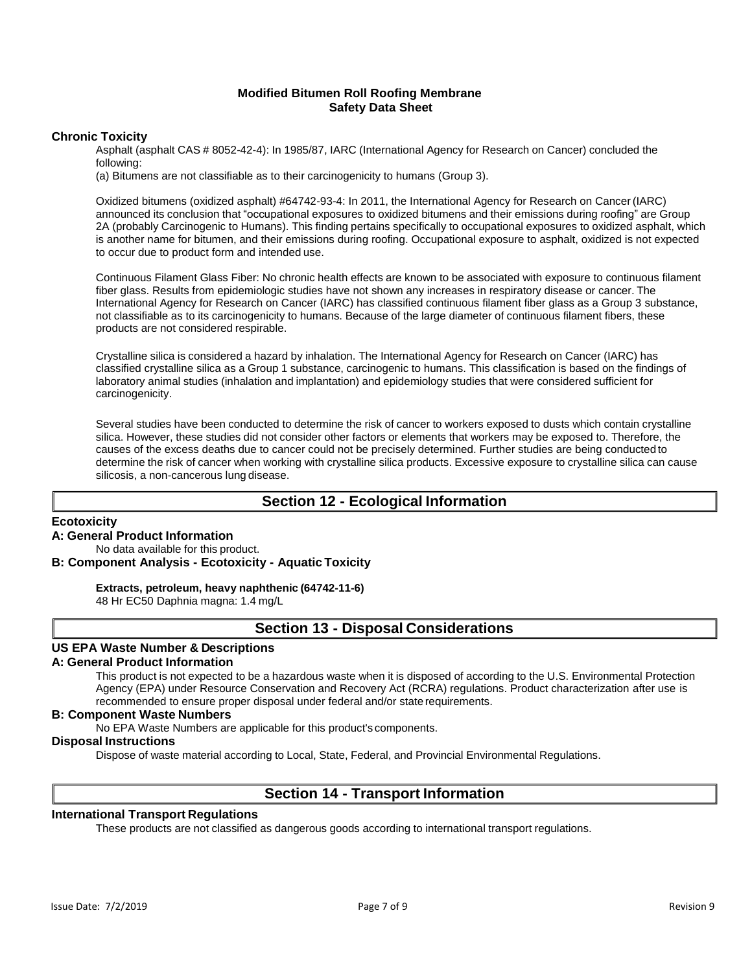### **Chronic Toxicity**

Asphalt (asphalt CAS # 8052-42-4): In 1985/87, IARC (International Agency for Research on Cancer) concluded the following:

(a) Bitumens are not classifiable as to their carcinogenicity to humans (Group 3).

Oxidized bitumens (oxidized asphalt) #64742-93-4: In 2011, the International Agency for Research on Cancer(IARC) announced its conclusion that "occupational exposures to oxidized bitumens and their emissions during roofing" are Group 2A (probably Carcinogenic to Humans). This finding pertains specifically to occupational exposures to oxidized asphalt, which is another name for bitumen, and their emissions during roofing. Occupational exposure to asphalt, oxidized is not expected to occur due to product form and intended use.

Continuous Filament Glass Fiber: No chronic health effects are known to be associated with exposure to continuous filament fiber glass. Results from epidemiologic studies have not shown any increases in respiratory disease or cancer. The International Agency for Research on Cancer (IARC) has classified continuous filament fiber glass as a Group 3 substance, not classifiable as to its carcinogenicity to humans. Because of the large diameter of continuous filament fibers, these products are not considered respirable.

Crystalline silica is considered a hazard by inhalation. The International Agency for Research on Cancer (IARC) has classified crystalline silica as a Group 1 substance, carcinogenic to humans. This classification is based on the findings of laboratory animal studies (inhalation and implantation) and epidemiology studies that were considered sufficient for carcinogenicity.

Several studies have been conducted to determine the risk of cancer to workers exposed to dusts which contain crystalline silica. However, these studies did not consider other factors or elements that workers may be exposed to. Therefore, the causes of the excess deaths due to cancer could not be precisely determined. Further studies are being conducted to determine the risk of cancer when working with crystalline silica products. Excessive exposure to crystalline silica can cause silicosis, a non-cancerous lung disease.

# **Section 12 - Ecological Information**

### **Ecotoxicity**

### **A: General Product Information**

# No data available for this product.

**B: Component Analysis - Ecotoxicity - Aquatic Toxicity**

### **Extracts, petroleum, heavy naphthenic (64742-11-6)**

48 Hr EC50 Daphnia magna: 1.4 mg/L

### **Section 13 - Disposal Considerations**

### **US EPA Waste Number & Descriptions**

### **A: General Product Information**

This product is not expected to be a hazardous waste when it is disposed of according to the U.S. Environmental Protection Agency (EPA) under Resource Conservation and Recovery Act (RCRA) regulations. Product characterization after use is recommended to ensure proper disposal under federal and/or state requirements.

### **B: Component Waste Numbers**

No EPA Waste Numbers are applicable for this product's components.

### **Disposal Instructions**

Dispose of waste material according to Local, State, Federal, and Provincial Environmental Regulations.

# **Section 14 - Transport Information**

### **International Transport Regulations**

These products are not classified as dangerous goods according to international transport regulations.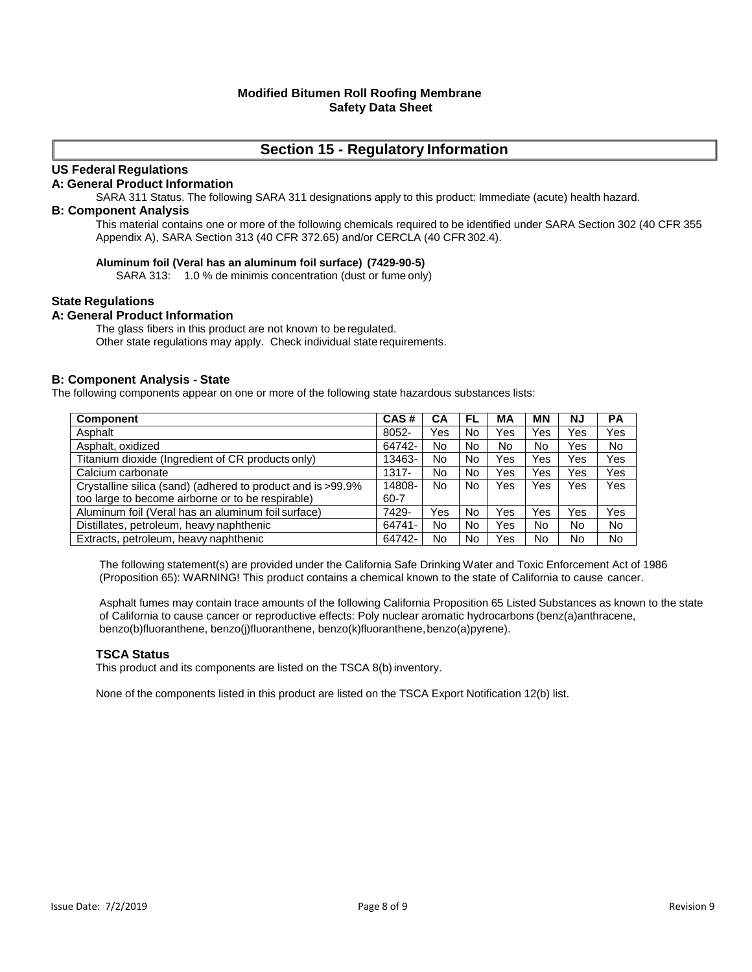# **Section 15 - Regulatory Information**

### **US Federal Regulations**

### **A: General Product Information**

SARA 311 Status. The following SARA 311 designations apply to this product: Immediate (acute) health hazard.

### **B: Component Analysis**

This material contains one or more of the following chemicals required to be identified under SARA Section 302 (40 CFR 355 Appendix A), SARA Section 313 (40 CFR 372.65) and/or CERCLA (40 CFR302.4).

### **Aluminum foil (Veral has an aluminum foil surface) (7429-90-5)**

SARA 313: 1.0 % de minimis concentration (dust or fume only)

### **State Regulations**

### **A: General Product Information**

The glass fibers in this product are not known to be regulated. Other state regulations may apply. Check individual state requirements.

### **B: Component Analysis - State**

The following components appear on one or more of the following state hazardous substances lists:

| Component                                                   | CAS#   | CА  | FL | MА  | МN  | NJ  | РA             |
|-------------------------------------------------------------|--------|-----|----|-----|-----|-----|----------------|
| Asphalt                                                     | 8052-  | Yes | No | Yes | Yes | Yes | Yes            |
| Asphalt, oxidized                                           | 64742- | No  | No | No  | No  | Yes | No.            |
| Titanium dioxide (Ingredient of CR products only)           | 13463- | No  | No | Yes | Yes | Yes | Yes            |
| Calcium carbonate                                           | 1317-  | No  | No | Yes | Yes | Yes | Yes            |
| Crystalline silica (sand) (adhered to product and is >99.9% | 14808- | No  | No | Yes | Yes | Yes | Yes            |
| too large to become airborne or to be respirable)           | 60-7   |     |    |     |     |     |                |
| Aluminum foil (Veral has an aluminum foil surface)          | 7429-  | Yes | No | Yes | Yes | Yes | Yes            |
| Distillates, petroleum, heavy naphthenic                    | 64741- | No  | No | Yes | No  | No  | No.            |
| Extracts, petroleum, heavy naphthenic                       | 64742- | No  | No | Yes | No  | No  | N <sub>o</sub> |

The following statement(s) are provided under the California Safe Drinking Water and Toxic Enforcement Act of 1986 (Proposition 65): WARNING! This product contains a chemical known to the state of California to cause cancer.

Asphalt fumes may contain trace amounts of the following California Proposition 65 Listed Substances as known to the state of California to cause cancer or reproductive effects: Poly nuclear aromatic hydrocarbons (benz(a)anthracene, benzo(b)fluoranthene, benzo(j)fluoranthene, benzo(k)fluoranthene, benzo(a)pyrene).

### **TSCA Status**

This product and its components are listed on the TSCA 8(b) inventory.

None of the components listed in this product are listed on the TSCA Export Notification 12(b) list.